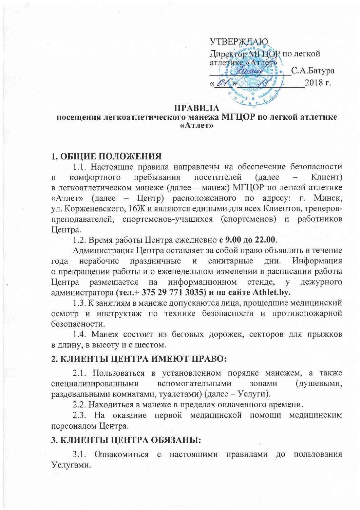**УТВЕРЖДАЮ** Директор MI HOR по легкой атлетике «Атлет» Freumain  $\epsilon$ , C.A.Barypa  $2018$  г.

#### ПРАВИЛА

### посещения легкоатлетического манежа МГЦОР по легкой атлетике «Атлет»

## 1. ОБЩИЕ ПОЛОЖЕНИЯ

1.1. Настоящие правила направлены на обеспечение безопасности пребывания комфортного посетителей (далее Клиент)  $\overline{M}$ в легкоатлетическом манеже (далее – манеж) МГЦОР по легкой атлетике «Атлет» (далее – Центр) расположенного по адресу: г. Минск, ул. Корженевского, 16Ж и являются едиными для всех Клиентов, тренеровпреподавателей, спортсменов-учащихся (спортсменов) и работников Центра.

1.2. Время работы Центра ежедневно с 9.00 до 22.00.

Администрация Центра оставляет за собой право объявлять в течение нерабочие праздничные  $\mathbf{M}$ санитарные ДНИ. Информация года о прекращении работы и о еженедельном изменении в расписании работы размещается на информационном стенде, Центра  $\overline{V}$ дежурного администратора (тел.+37529 771 3035) и на сайте Athlet.by.

1.3. К занятиям в манеже допускаются лица, прошедшие медицинский осмотр и инструктаж по технике безопасности и противопожарной безопасности.

1.4. Манеж состоит из беговых дорожек, секторов для прыжков в длину, в высоту и с шестом.

### 2. КЛИЕНТЫ ЦЕНТРА ИМЕЮТ ПРАВО:

2.1. Пользоваться в установленном порядке манежем, а также (душевыми, специализированными вспомогательными зонами раздевальными комнатами, туалетами) (далее - Услуги).

2.2. Находиться в манеже в пределах оплаченного времени.

2.3. На оказание первой медицинской помощи медицинским персоналом Центра.

#### 3. КЛИЕНТЫ ЦЕНТРА ОБЯЗАНЫ:

3.1. Ознакомиться с настоящими правилами до пользования Услугами.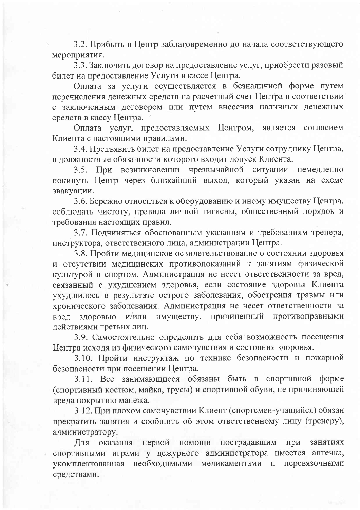3.2. Прибыть в Центр заблаговременно до начала соответствующего мероприятия.

3.3. Заключить договор на предоставление услуг, приобрести разовый билет на предоставление Услуги в кассе Центра.

Оплата за услуги осуществляется в безналичной форме путем перечисления денежных средств на расчетный счет Центра в соответствии с заключенным договором или путем внесения наличных денежных средств в кассу Центра.

Оплата услуг, предоставляемых Центром, является согласием Клиента с настоящими правилами.

3.4. Предъявить билет на предоставление Услуги сотруднику Центра, в должностные обязанности которого входит допуск Клиента.

3.5. При возникновении чрезвычайной ситуации немедленно покинуть Центр через ближайший выход, который указан на схеме эвакуации.

3.6. Бережно относиться к оборудованию и иному имуществу Центра, соблюдать чистоту, правила личной гигиены, общественный порядок и требования настоящих правил.

3.7. Подчиняться обоснованным указаниям и требованиям тренера, инструктора, ответственного лица, администрации Центра.

3.8. Пройти медицинское освидетельствование о состоянии здоровья и отсутствии медицинских противопоказаний к занятиям физической культурой и спортом. Администрация не несет ответственности за вред, связанный с ухудшением здоровья, если состояние здоровья Клиента ухудшилось в результате острого заболевания, обострения травмы или хронического заболевания. Администрация не несет ответственности за противоправными имуществу, причиненный вред здоровью и/или действиями третьих лиц.

3.9. Самостоятельно определить для себя возможность посещения Центра исходя из физического самочувствия и состояния здоровья.

3.10. Пройти инструктаж по технике безопасности и пожарной безопасности при посещении Центра.

3.11. Все занимающиеся обязаны быть в спортивной форме (спортивный костюм, майка, трусы) и спортивной обуви, не причиняющей вреда покрытию манежа.

3.12. При плохом самочувствии Клиент (спортсмен-учащийся) обязан прекратить занятия и сообщить об этом ответственному лицу (тренеру), администратору.

Для оказания первой помощи пострадавшим при занятиях спортивными играми у дежурного администратора имеется аптечка, укомплектованная необходимыми медикаментами перевязочными  $\mathbf{M}$ средствами.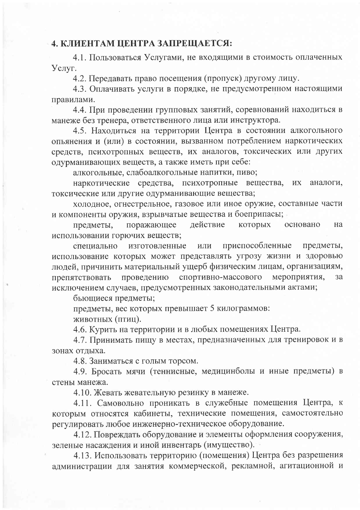## 4. КЛИЕНТАМ ЦЕНТРА ЗАПРЕЩАЕТСЯ:

4.1. Пользоваться Услугами, не входящими в стоимость оплаченных Услуг.

4.2. Передавать право посещения (пропуск) другому лицу.

4.3. Оплачивать услуги в порядке, не предусмотренном настоящими правилами.

4.4. При проведении групповых занятий, соревнований находиться в манеже без тренера, ответственного лица или инструктора.

4.5. Находиться на территории Центра в состоянии алкогольного опьянения и (или) в состоянии, вызванном потреблением наркотических средств, психотропных веществ, их аналогов, токсических или других одурманивающих веществ, а также иметь при себе:

алкогольные, слабоалкогольные напитки, пиво;

наркотические средства, психотропные вещества, **HX** аналоги. токсические или другие одурманивающие вещества;

холодное, огнестрельное, газовое или иное оружие, составные части и компоненты оружия, взрывчатые вещества и боеприпасы;

действие предметы, поражающее которых основано на использовании горючих веществ;

изготовленные приспособленные предметы, ИЛИ специально использование которых может представлять угрозу жизни и здоровью людей, причинить материальный ущерб физическим лицам, организациям, спортивно-массового мероприятия, препятствовать проведению  $3a$ исключением случаев, предусмотренных законодательными актами;

бьющиеся предметы;

предметы, вес которых превышает 5 килограммов:

животных (птиц).

4.6. Курить на территории и в любых помещениях Центра.

4.7. Принимать пищу в местах, предназначенных для тренировок и в зонах отдыха.

4.8. Заниматься с голым торсом.

4.9. Бросать мячи (теннисные, медицинболы и иные предметы) в стены манежа.

4.10. Жевать жевательную резинку в манеже.

4.11. Самовольно проникать в служебные помещения Центра, к которым относятся кабинеты, технические помещения, самостоятельно регулировать любое инженерно-техническое оборудование.

4.12. Повреждать оборудование и элементы оформления сооружения, зеленые насаждения и иной инвентарь (имущество).

4.13. Использовать территорию (помещения) Центра без разрешения администрации для занятия коммерческой, рекламной, агитационной и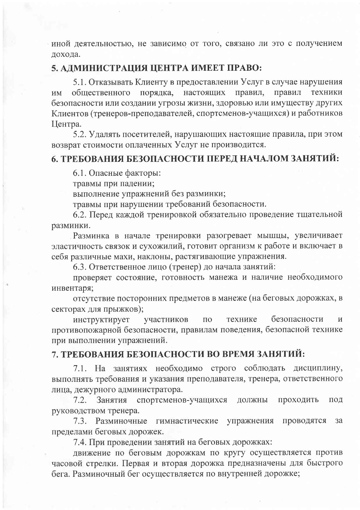иной деятельностью, не зависимо от того, связано ли это с получением дохода.

## 5. АДМИНИСТРАЦИЯ ЦЕНТРА ИМЕЕТ ПРАВО:

5.1. Отказывать Клиенту в предоставлении Услуг в случае нарушения порядка, настоящих правил общественного правил, техники **HM** безопасности или создании угрозы жизни, здоровью или имуществу других Клиентов (тренеров-преподавателей, спортсменов-учащихся) и работников Центра.

5.2. Удалять посетителей, нарушающих настоящие правила, при этом возврат стоимости оплаченных Услуг не производится.

## 6. ТРЕБОВАНИЯ БЕЗОПАСНОСТИ ПЕРЕД НАЧАЛОМ ЗАНЯТИЙ:

6.1. Опасные факторы:

травмы при падении;

выполнение упражнений без разминки;

травмы при нарушении требований безопасности.

6.2. Перед каждой тренировкой обязательно проведение тщательной разминки.

Разминка в начале тренировки разогревает мышцы, увеличивает эластичность связок и сухожилий, готовит организм к работе и включает в себя различные махи, наклоны, растягивающие упражнения.

6.3. Ответственное лицо (тренер) до начала занятий:

проверяет состояние, готовность манежа и наличие необходимого инвентаря;

отсутствие посторонних предметов в манеже (на беговых дорожках, в секторах для прыжков);

безопасности инструктирует технике участников ПО И противопожарной безопасности, правилам поведения, безопасной технике при выполнении упражнений.

## 7. ТРЕБОВАНИЯ БЕЗОПАСНОСТИ ВО ВРЕМЯ ЗАНЯТИЙ:

7.1. На занятиях необходимо строго соблюдать дисциплину, выполнять требования и указания преподавателя, тренера, ответственного лица, дежурного администратора.

 $7.2.$ Занятия спортсменов-учащихся должны проходить ПОД руководством тренера.

7.3. Разминочные гимнастические упражнения проводятся  $3a$ пределами беговых дорожек.

7.4. При проведении занятий на беговых дорожках:

движение по беговым дорожкам по кругу осуществляется против часовой стрелки. Первая и вторая дорожка предназначены для быстрого бега. Разминочный бег осуществляется по внутренней дорожке;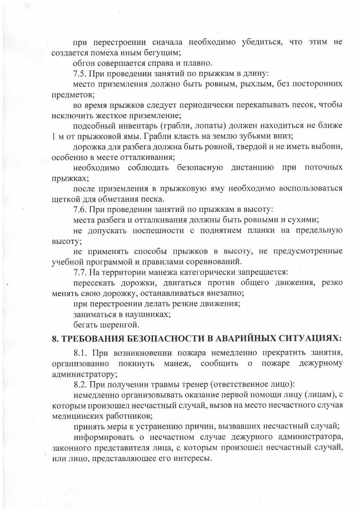при перестроении сначала необходимо убедиться, что этим не создается помеха иным бегущим;

обгон совершается справа и плавно.

7.5. При проведении занятий по прыжкам в длину:

место приземления должно быть ровным, рыхлым, без посторонних предметов;

во время прыжков следует периодически перекапывать песок, чтобы исключить жесткое приземление;

подсобный инвентарь (грабли, лопаты) должен находиться не ближе 1 м от прыжковой ямы. Грабли класть на землю зубьями вниз;

дорожка для разбега должна быть ровной, твердой и не иметь выбоин, особенно в месте отталкивания:

необходимо соблюдать безопасную дистанцию при поточных прыжках;

после приземления в прыжковую яму необходимо воспользоваться щеткой для обметания песка.

7.6. При проведении занятий по прыжкам в высоту:

места разбега и отталкивания должны быть ровными и сухими;

не допускать поспешности с поднятием планки на предельную высоту;

не применять способы прыжков в высоту, не предусмотренные учебной программой и правилами соревнований.

7.7. На территории манежа категорически запрещается:

пересекать дорожки, двигаться против общего движения, резко менять свою дорожку, останавливаться внезапно;

при перестроении делать резкие движения;

заниматься в наушниках;

бегать шеренгой.

# 8. ТРЕБОВАНИЯ БЕЗОПАСНОСТИ В АВАРИЙНЫХ СИТУАЦИЯХ:

8.1. При возникновении пожара немедленно прекратить занятия, манеж, сообщить пожаре дежурному организованно покинуть  $\overline{O}$ администратору;

8.2. При получении травмы тренер (ответственное лицо):

немедленно организовывать оказание первой помощи лицу (лицам), с которым произошел несчастный случай, вызов на место несчастного случая медицинских работников;

принять меры к устранению причин, вызвавших несчастный случай;

информировать о несчастном случае дежурного администратора, законного представителя лица, с которым произошел несчастный случай, или лицо, представляющее его интересы.